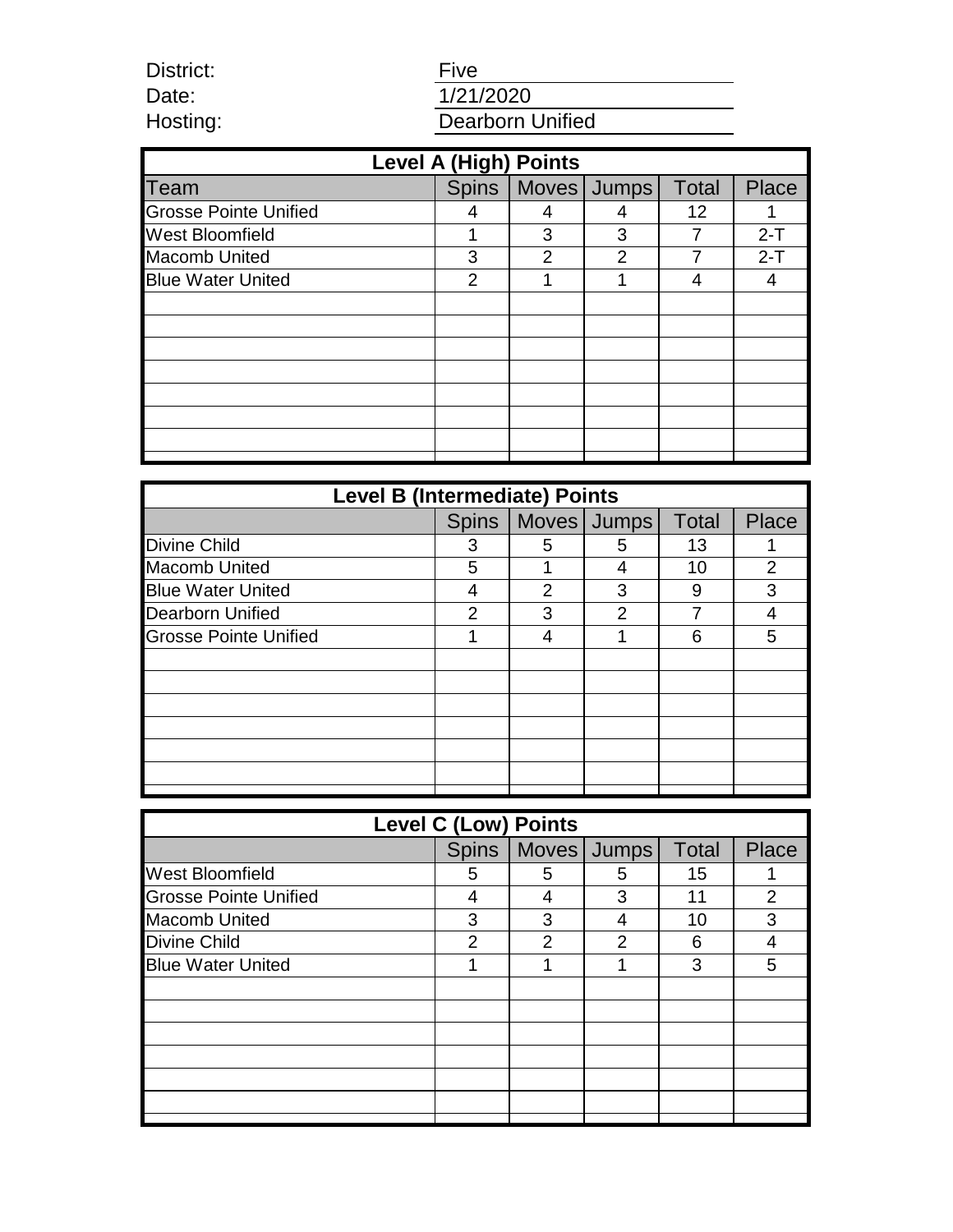District: Date: Hosting:

# **Five** 1/21/2020 Dearborn Unified

| <b>Level A (High) Points</b> |              |               |               |              |         |  |  |  |
|------------------------------|--------------|---------------|---------------|--------------|---------|--|--|--|
| <b>Team</b>                  | <b>Spins</b> |               | Moves Jumps   | <b>Total</b> | Place   |  |  |  |
| <b>Grosse Pointe Unified</b> |              | 4             |               | 12           |         |  |  |  |
| <b>West Bloomfield</b>       |              | 3             | 3             | 7            | $2 - T$ |  |  |  |
| <b>Macomb United</b>         | 3            | $\mathcal{P}$ | $\mathcal{P}$ |              | $2 - T$ |  |  |  |
| <b>Blue Water United</b>     | 2            |               |               | 4            | 4       |  |  |  |
|                              |              |               |               |              |         |  |  |  |
|                              |              |               |               |              |         |  |  |  |
|                              |              |               |               |              |         |  |  |  |
|                              |              |               |               |              |         |  |  |  |
|                              |              |               |               |              |         |  |  |  |
|                              |              |               |               |              |         |  |  |  |
|                              |              |               |               |              |         |  |  |  |
|                              |              |               |               |              |         |  |  |  |

| <b>Level B (Intermediate) Points</b> |               |               |             |       |                |  |  |
|--------------------------------------|---------------|---------------|-------------|-------|----------------|--|--|
|                                      | <b>Spins</b>  |               | Moves Jumps | Total | Place          |  |  |
| <b>Divine Child</b>                  | 3             | 5             | 5           | 13    |                |  |  |
| <b>Macomb United</b>                 | 5             |               |             | 10    | $\overline{2}$ |  |  |
| <b>Blue Water United</b>             | 4             | $\mathcal{P}$ | 3           | 9     | 3              |  |  |
| <b>Dearborn Unified</b>              | $\mathcal{P}$ | 3             | っ           |       |                |  |  |
| <b>Grosse Pointe Unified</b>         |               |               | ◢           | 6     | 5              |  |  |
|                                      |               |               |             |       |                |  |  |
|                                      |               |               |             |       |                |  |  |
|                                      |               |               |             |       |                |  |  |
|                                      |               |               |             |       |                |  |  |
|                                      |               |               |             |       |                |  |  |
|                                      |               |               |             |       |                |  |  |
|                                      |               |               |             |       |                |  |  |

| <b>Level C (Low) Points</b>  |              |   |             |              |                |  |  |
|------------------------------|--------------|---|-------------|--------------|----------------|--|--|
|                              | <b>Spins</b> |   | Moves Jumps | <b>Total</b> | Place          |  |  |
| <b>West Bloomfield</b>       | 5            | 5 | 5           | 15           |                |  |  |
| <b>Grosse Pointe Unified</b> | 4            | 4 | 3           | 11           | $\overline{2}$ |  |  |
| <b>Macomb United</b>         | 3            | 3 |             | 10           | 3              |  |  |
| <b>Divine Child</b>          | 2            | 2 | 2           | 6            |                |  |  |
| <b>Blue Water United</b>     |              |   |             | 3            | 5              |  |  |
|                              |              |   |             |              |                |  |  |
|                              |              |   |             |              |                |  |  |
|                              |              |   |             |              |                |  |  |
|                              |              |   |             |              |                |  |  |
|                              |              |   |             |              |                |  |  |
|                              |              |   |             |              |                |  |  |
|                              |              |   |             |              |                |  |  |